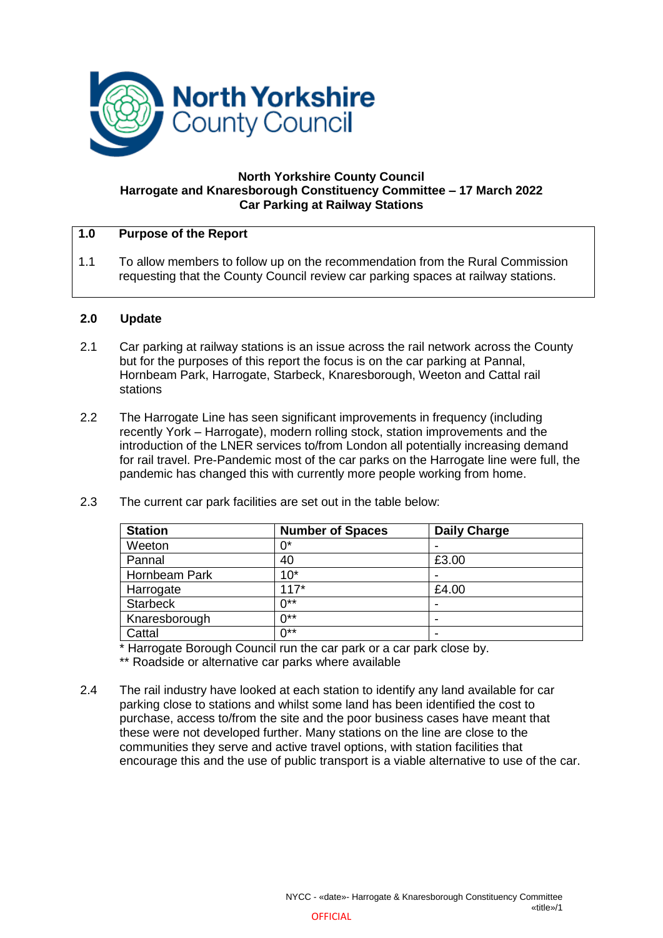

#### **North Yorkshire County Council Harrogate and Knaresborough Constituency Committee – 17 March 2022 Car Parking at Railway Stations**

#### **1.0 Purpose of the Report**

1.1 To allow members to follow up on the recommendation from the Rural Commission requesting that the County Council review car parking spaces at railway stations.

### **2.0 Update**

- 2.1 Car parking at railway stations is an issue across the rail network across the County but for the purposes of this report the focus is on the car parking at Pannal, Hornbeam Park, Harrogate, Starbeck, Knaresborough, Weeton and Cattal rail stations
- 2.2 The Harrogate Line has seen significant improvements in frequency (including recently York – Harrogate), modern rolling stock, station improvements and the introduction of the LNER services to/from London all potentially increasing demand for rail travel. Pre-Pandemic most of the car parks on the Harrogate line were full, the pandemic has changed this with currently more people working from home.

| <b>Station</b>  | <b>Number of Spaces</b> | <b>Daily Charge</b> |
|-----------------|-------------------------|---------------------|
| Weeton          | በ*                      |                     |
| Pannal          | 40                      | £3.00               |
| Hornbeam Park   | $10*$                   |                     |
| Harrogate       | $117*$                  | £4.00               |
| <b>Starbeck</b> | $0**$                   | ۰                   |
| Knaresborough   | $0**$                   |                     |
| Cattal          | $0^{**}$                | ۰                   |

2.3 The current car park facilities are set out in the table below:

\* Harrogate Borough Council run the car park or a car park close by.

\*\* Roadside or alternative car parks where available

2.4 The rail industry have looked at each station to identify any land available for car parking close to stations and whilst some land has been identified the cost to purchase, access to/from the site and the poor business cases have meant that these were not developed further. Many stations on the line are close to the communities they serve and active travel options, with station facilities that encourage this and the use of public transport is a viable alternative to use of the car.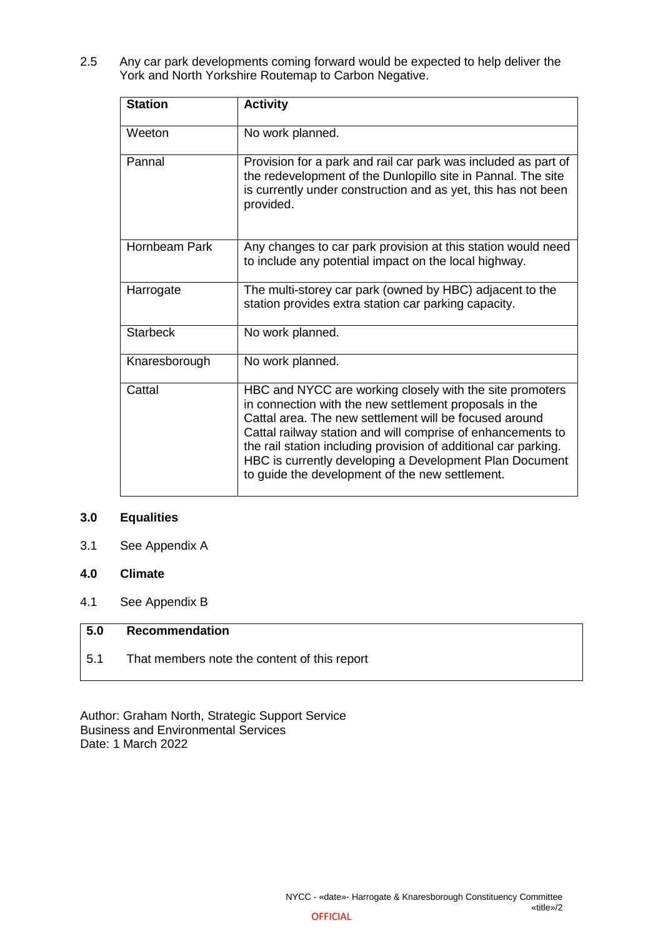2.5 Any car park developments coming forward would be expected to help deliver the York and North Yorkshire Routemap to Carbon Negative.

| <b>Station</b>  | <b>Activity</b>                                                                                                                                                                                                                                                                                                                                                                                                              |
|-----------------|------------------------------------------------------------------------------------------------------------------------------------------------------------------------------------------------------------------------------------------------------------------------------------------------------------------------------------------------------------------------------------------------------------------------------|
| Weeton          | No work planned.                                                                                                                                                                                                                                                                                                                                                                                                             |
| Pannal          | Provision for a park and rail car park was included as part of<br>the redevelopment of the Dunlopillo site in Pannal. The site<br>is currently under construction and as yet, this has not been<br>provided.                                                                                                                                                                                                                 |
| Hornbeam Park   | Any changes to car park provision at this station would need<br>to include any potential impact on the local highway.                                                                                                                                                                                                                                                                                                        |
| Harrogate       | The multi-storey car park (owned by HBC) adjacent to the<br>station provides extra station car parking capacity.                                                                                                                                                                                                                                                                                                             |
| <b>Starbeck</b> | No work planned.                                                                                                                                                                                                                                                                                                                                                                                                             |
| Knaresborough   | No work planned.                                                                                                                                                                                                                                                                                                                                                                                                             |
| Cattal          | HBC and NYCC are working closely with the site promoters<br>in connection with the new settlement proposals in the<br>Cattal area. The new settlement will be focused around<br>Cattal railway station and will comprise of enhancements to<br>the rail station including provision of additional car parking.<br>HBC is currently developing a Development Plan Document<br>to guide the development of the new settlement. |

### **3.0 Equalities**

- 3.1 See Appendix A
- **4.0 Climate**
- 4.1 See Appendix B

## **5.0 Recommendation**

5.1 That members note the content of this report

Author: Graham North, Strategic Support Service Business and Environmental Services Date: 1 March 2022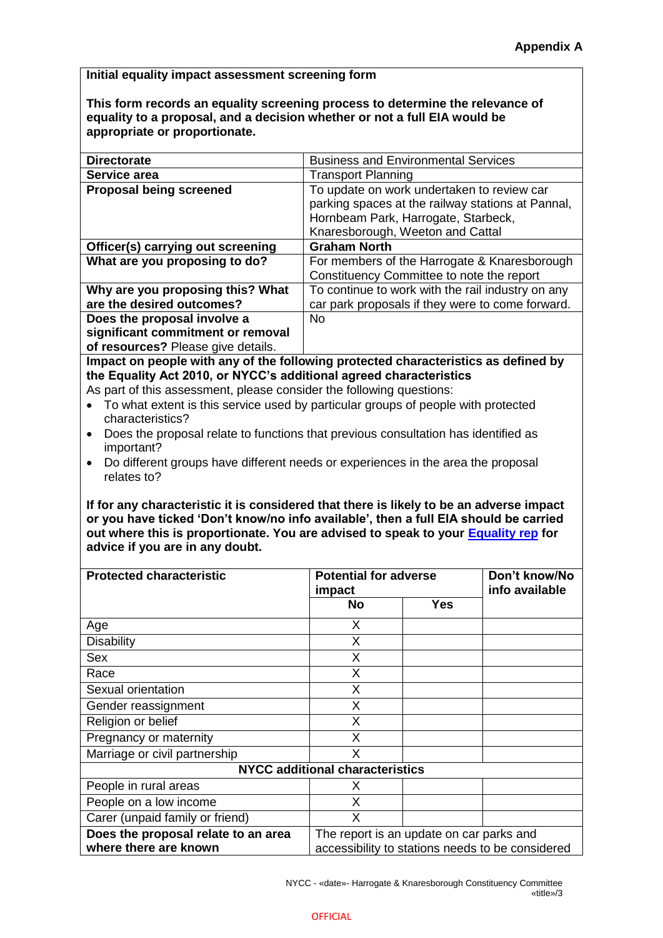**Initial equality impact assessment screening form**

**This form records an equality screening process to determine the relevance of equality to a proposal, and a decision whether or not a full EIA would be appropriate or proportionate.**

| <b>Directorate</b>                 | <b>Business and Environmental Services</b>                                                                                                                                 |
|------------------------------------|----------------------------------------------------------------------------------------------------------------------------------------------------------------------------|
| Service area                       | <b>Transport Planning</b>                                                                                                                                                  |
| <b>Proposal being screened</b>     | To update on work undertaken to review car<br>parking spaces at the railway stations at Pannal,<br>Hornbeam Park, Harrogate, Starbeck,<br>Knaresborough, Weeton and Cattal |
| Officer(s) carrying out screening  | <b>Graham North</b>                                                                                                                                                        |
| What are you proposing to do?      | For members of the Harrogate & Knaresborough                                                                                                                               |
|                                    | Constituency Committee to note the report                                                                                                                                  |
| Why are you proposing this? What   | To continue to work with the rail industry on any                                                                                                                          |
| are the desired outcomes?          | car park proposals if they were to come forward.                                                                                                                           |
| Does the proposal involve a        | No.                                                                                                                                                                        |
| significant commitment or removal  |                                                                                                                                                                            |
| of resources? Please give details. |                                                                                                                                                                            |

**Impact on people with any of the following protected characteristics as defined by the Equality Act 2010, or NYCC's additional agreed characteristics**

- As part of this assessment, please consider the following questions:
- To what extent is this service used by particular groups of people with protected characteristics?
- Does the proposal relate to functions that previous consultation has identified as important?
- Do different groups have different needs or experiences in the area the proposal relates to?

**If for any characteristic it is considered that there is likely to be an adverse impact or you have ticked 'Don't know/no info available', then a full EIA should be carried out where this is proportionate. You are advised to speak to your [Equality rep](http://nyccintranet/content/equalities-contacts) for advice if you are in any doubt.**

| <b>Protected characteristic</b>                              | <b>Potential for adverse</b><br>impact                                                       |     | Don't know/No<br>info available |  |  |
|--------------------------------------------------------------|----------------------------------------------------------------------------------------------|-----|---------------------------------|--|--|
|                                                              | <b>No</b>                                                                                    | Yes |                                 |  |  |
| Age                                                          | X                                                                                            |     |                                 |  |  |
| <b>Disability</b>                                            | X                                                                                            |     |                                 |  |  |
| Sex                                                          | X                                                                                            |     |                                 |  |  |
| Race                                                         | X                                                                                            |     |                                 |  |  |
| Sexual orientation                                           | X                                                                                            |     |                                 |  |  |
| Gender reassignment                                          | X                                                                                            |     |                                 |  |  |
| Religion or belief                                           | X                                                                                            |     |                                 |  |  |
| Pregnancy or maternity                                       | X                                                                                            |     |                                 |  |  |
| Marriage or civil partnership                                | X                                                                                            |     |                                 |  |  |
| <b>NYCC additional characteristics</b>                       |                                                                                              |     |                                 |  |  |
| People in rural areas                                        | х                                                                                            |     |                                 |  |  |
| People on a low income                                       | Χ                                                                                            |     |                                 |  |  |
| Carer (unpaid family or friend)                              | X                                                                                            |     |                                 |  |  |
| Does the proposal relate to an area<br>where there are known | The report is an update on car parks and<br>accessibility to stations needs to be considered |     |                                 |  |  |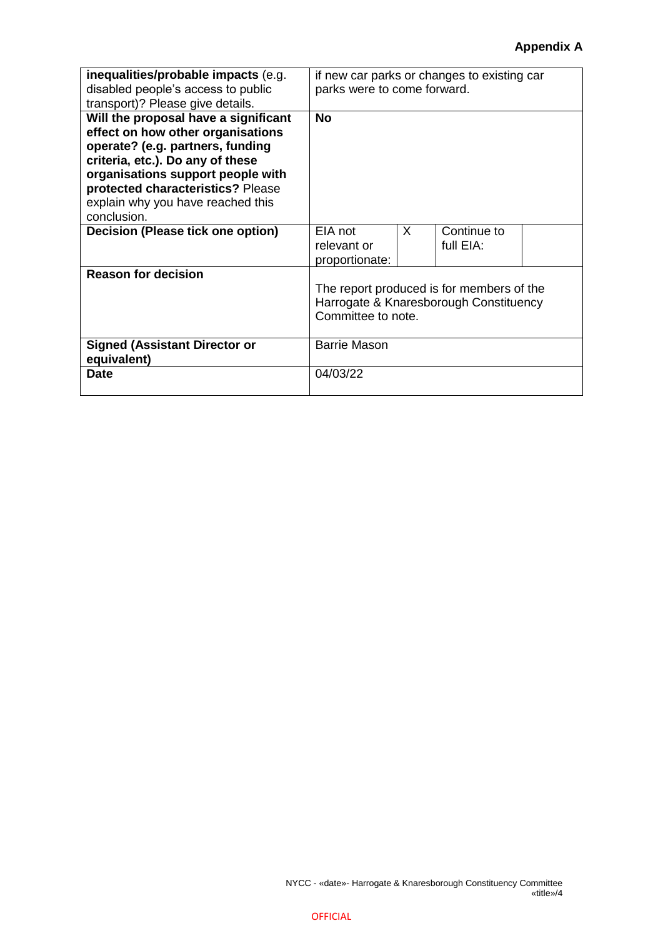# **Appendix A**

| inequalities/probable impacts (e.g.<br>disabled people's access to public<br>transport)? Please give details.                                                                                                                                                                   | if new car parks or changes to existing car<br>parks were to come forward.                                |   |                          |  |
|---------------------------------------------------------------------------------------------------------------------------------------------------------------------------------------------------------------------------------------------------------------------------------|-----------------------------------------------------------------------------------------------------------|---|--------------------------|--|
| Will the proposal have a significant<br>effect on how other organisations<br>operate? (e.g. partners, funding<br>criteria, etc.). Do any of these<br>organisations support people with<br>protected characteristics? Please<br>explain why you have reached this<br>conclusion. | <b>No</b>                                                                                                 |   |                          |  |
| <b>Decision (Please tick one option)</b>                                                                                                                                                                                                                                        | EIA not<br>relevant or<br>proportionate:                                                                  | X | Continue to<br>full EIA: |  |
| <b>Reason for decision</b>                                                                                                                                                                                                                                                      | The report produced is for members of the<br>Harrogate & Knaresborough Constituency<br>Committee to note. |   |                          |  |
| <b>Signed (Assistant Director or</b><br>equivalent)                                                                                                                                                                                                                             | <b>Barrie Mason</b>                                                                                       |   |                          |  |
| <b>Date</b>                                                                                                                                                                                                                                                                     | 04/03/22                                                                                                  |   |                          |  |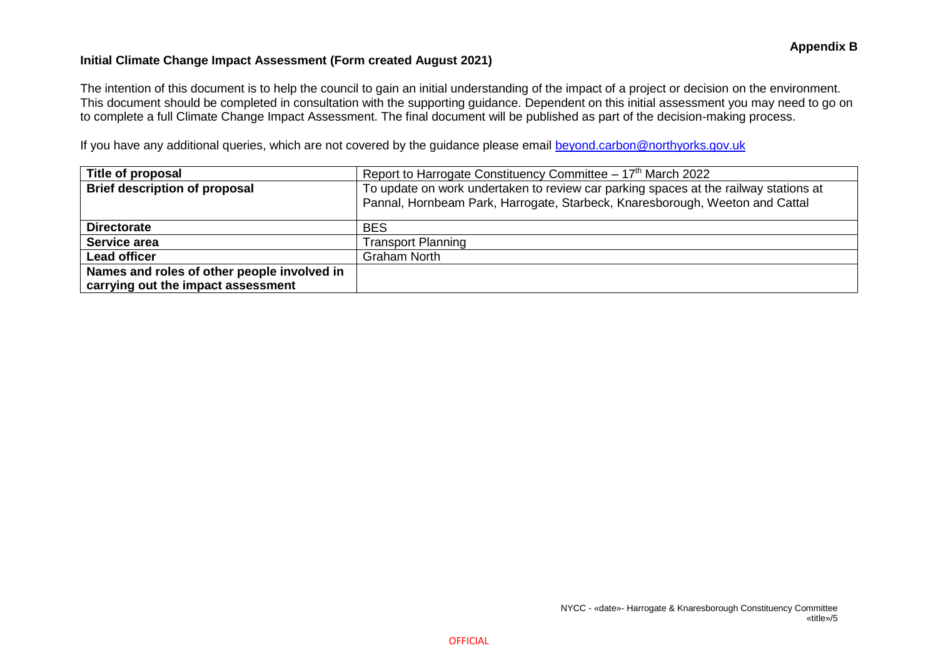## **Initial Climate Change Impact Assessment (Form created August 2021)**

The intention of this document is to help the council to gain an initial understanding of the impact of a project or decision on the environment. This document should be completed in consultation with the supporting guidance. Dependent on this initial assessment you may need to go on to complete a full Climate Change Impact Assessment. The final document will be published as part of the decision-making process.

If you have any additional queries, which are not covered by the guidance please email [beyond.carbon@northyorks.gov.uk](mailto:beyond.carbon@northyorks.gov.uk)

| Title of proposal                           | Report to Harrogate Constituency Committee $-17th$ March 2022                                                                                                        |
|---------------------------------------------|----------------------------------------------------------------------------------------------------------------------------------------------------------------------|
| <b>Brief description of proposal</b>        | To update on work undertaken to review car parking spaces at the railway stations at<br>Pannal, Hornbeam Park, Harrogate, Starbeck, Knaresborough, Weeton and Cattal |
| <b>Directorate</b>                          | <b>BES</b>                                                                                                                                                           |
| Service area                                | <b>Transport Planning</b>                                                                                                                                            |
| <b>Lead officer</b>                         | <b>Graham North</b>                                                                                                                                                  |
| Names and roles of other people involved in |                                                                                                                                                                      |
| carrying out the impact assessment          |                                                                                                                                                                      |